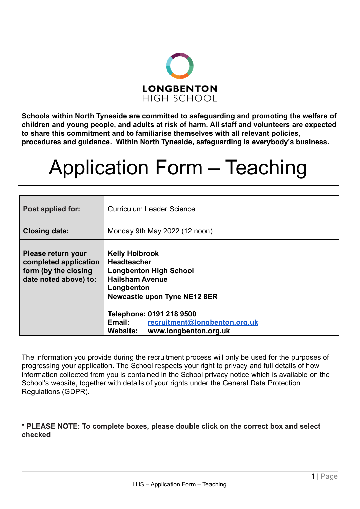

**Schools within North Tyneside are committed to safeguarding and promoting the welfare of children and young people, and adults at risk of harm. All staff and volunteers are expected to share this commitment and to familiarise themselves with all relevant policies, procedures and guidance. Within North Tyneside, safeguarding is everybody's business.**

# Application Form – Teaching

| Post applied for:                                                                            | <b>Curriculum Leader Science</b>                                                                                                                                                                                                                                        |
|----------------------------------------------------------------------------------------------|-------------------------------------------------------------------------------------------------------------------------------------------------------------------------------------------------------------------------------------------------------------------------|
| <b>Closing date:</b>                                                                         | Monday 9th May 2022 (12 noon)                                                                                                                                                                                                                                           |
| Please return your<br>completed application<br>form (by the closing<br>date noted above) to: | <b>Kelly Holbrook</b><br><b>Headteacher</b><br><b>Longbenton High School</b><br><b>Hailsham Avenue</b><br>Longbenton<br><b>Newcastle upon Tyne NE12 8ER</b><br>Telephone: 0191 218 9500<br>Email:<br>recruitment@longbenton.org.uk<br>Website:<br>www.longbenton.org.uk |

The information you provide during the recruitment process will only be used for the purposes of progressing your application. The School respects your right to privacy and full details of how information collected from you is contained in the School privacy notice which is available on the School's website, together with details of your rights under the General Data Protection Regulations (GDPR).

\* **PLEASE NOTE: To complete boxes, please double click on the correct box and select checked**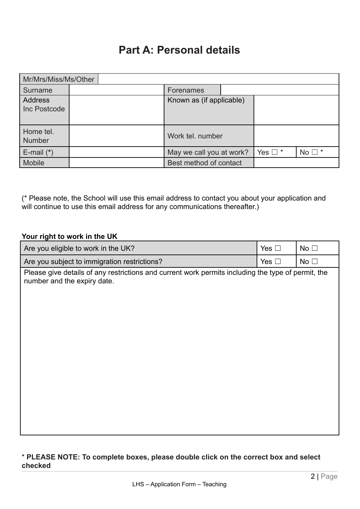# **Part A: Personal details**

| Mr/Mrs/Miss/Ms/Other           |  |  |  |                          |  |                 |                |
|--------------------------------|--|--|--|--------------------------|--|-----------------|----------------|
| Surname                        |  |  |  | Forenames                |  |                 |                |
| <b>Address</b><br>Inc Postcode |  |  |  | Known as (if applicable) |  |                 |                |
| Home tel.<br><b>Number</b>     |  |  |  | Work tel. number         |  |                 |                |
| E-mail $(*)$                   |  |  |  | May we call you at work? |  | Yes $\square$ * | No $\square$ * |
| <b>Mobile</b>                  |  |  |  | Best method of contact   |  |                 |                |

(\* Please note, the School will use this email address to contact you about your application and will continue to use this email address for any communications thereafter.)

## **Your right to work in the UK**

| Are you eligible to work in the UK?                                                                                               | Yes $\Box$    | No <sub>1</sub> |
|-----------------------------------------------------------------------------------------------------------------------------------|---------------|-----------------|
| Are you subject to immigration restrictions?                                                                                      | Yes $\square$ | No <sub>1</sub> |
| Please give details of any restrictions and current work permits including the type of permit, the<br>number and the expiry date. |               |                 |
|                                                                                                                                   |               |                 |

#### \* **PLEASE NOTE: To complete boxes, please double click on the correct box and select checked**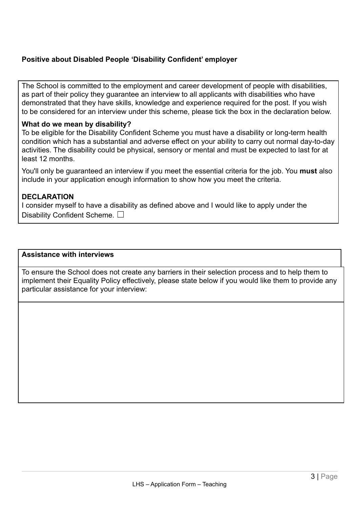## **Positive about Disabled People 'Disability Confident' employer**

The School is committed to the employment and career development of people with disabilities, as part of their policy they guarantee an interview to all applicants with disabilities who have demonstrated that they have skills, knowledge and experience required for the post. If you wish to be considered for an interview under this scheme, please tick the box in the declaration below.

#### **What do we mean by disability?**

To be eligible for the Disability Confident Scheme you must have a disability or long-term health condition which has a substantial and adverse effect on your ability to carry out normal day-to-day activities. The disability could be physical, sensory or mental and must be expected to last for at least 12 months.

You'll only be guaranteed an interview if you meet the essential criteria for the job. You **must** also include in your application enough information to show how you meet the criteria.

#### **DECLARATION**

I consider myself to have a disability as defined above and I would like to apply under the Disability Confident Scheme.  $\Box$ 

#### **Assistance with interviews**

To ensure the School does not create any barriers in their selection process and to help them to implement their Equality Policy effectively, please state below if you would like them to provide any particular assistance for your interview: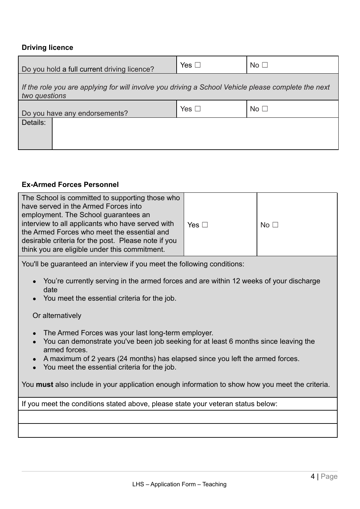#### **Driving licence**

| Do you hold a full current driving licence?                                                                          | Yes $\square$ | No <sub>1</sub> |  |  |  |
|----------------------------------------------------------------------------------------------------------------------|---------------|-----------------|--|--|--|
| If the role you are applying for will involve you driving a School Vehicle please complete the next<br>two questions |               |                 |  |  |  |
| Do you have any endorsements?                                                                                        | Yes $\square$ | No <sub>1</sub> |  |  |  |
| Details:                                                                                                             |               |                 |  |  |  |

#### **Ex-Armed Forces Personnel**

| The School is committed to supporting those who<br>have served in the Armed Forces into<br>employment. The School guarantees an<br>interview to all applicants who have served with<br>the Armed Forces who meet the essential and<br>desirable criteria for the post. Please note if you<br>think you are eligible under this commitment. | Yes $\square$ | No <sub>1</sub> |
|--------------------------------------------------------------------------------------------------------------------------------------------------------------------------------------------------------------------------------------------------------------------------------------------------------------------------------------------|---------------|-----------------|
|                                                                                                                                                                                                                                                                                                                                            |               |                 |

You'll be guaranteed an interview if you meet the following conditions:

- You're currently serving in the armed forces and are within 12 weeks of your discharge date
- You meet the essential criteria for the job.

Or alternatively

- The Armed Forces was your last long-term employer.
- You can demonstrate you've been job seeking for at least 6 months since leaving the armed forces.
- A maximum of 2 years (24 months) has elapsed since you left the armed forces.
- You meet the essential criteria for the job.

You **must** also include in your application enough information to show how you meet the criteria.

If you meet the conditions stated above, please state your veteran status below: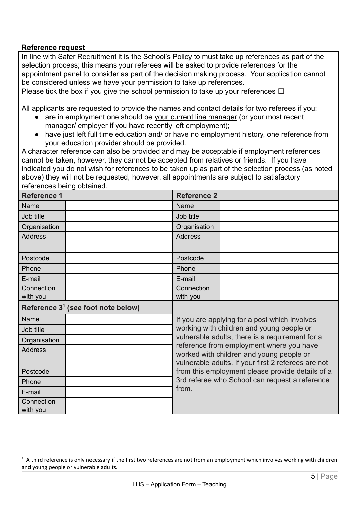#### **Reference request**

In line with Safer Recruitment it is the School's Policy to must take up references as part of the selection process; this means your referees will be asked to provide references for the appointment panel to consider as part of the decision making process. Your application cannot be considered unless we have your permission to take up references.

Please tick the box if you give the school permission to take up your references  $\Box$ 

All applicants are requested to provide the names and contact details for two referees if you:

- are in employment one should be your current line manager (or your most recent manager/ employer if you have recently left employment);
- have just left full time education and/ or have no employment history, one reference from your education provider should be provided.

A character reference can also be provided and may be acceptable if employment references cannot be taken, however, they cannot be accepted from relatives or friends. If you have indicated you do not wish for references to be taken up as part of the selection process (as noted above) they will not be requested, however, all appointments are subject to satisfactory references being obtained.

| <b>Reference 1</b>                             |  | <b>Reference 2</b>                                                                                                                                                                                                                                         |                                                 |  |  |  |
|------------------------------------------------|--|------------------------------------------------------------------------------------------------------------------------------------------------------------------------------------------------------------------------------------------------------------|-------------------------------------------------|--|--|--|
| Name                                           |  | Name                                                                                                                                                                                                                                                       |                                                 |  |  |  |
| Job title                                      |  | Job title                                                                                                                                                                                                                                                  |                                                 |  |  |  |
| Organisation                                   |  | Organisation                                                                                                                                                                                                                                               |                                                 |  |  |  |
| <b>Address</b>                                 |  | <b>Address</b>                                                                                                                                                                                                                                             |                                                 |  |  |  |
| Postcode                                       |  | Postcode                                                                                                                                                                                                                                                   |                                                 |  |  |  |
| Phone                                          |  | Phone                                                                                                                                                                                                                                                      |                                                 |  |  |  |
| E-mail                                         |  | E-mail                                                                                                                                                                                                                                                     |                                                 |  |  |  |
| Connection<br>with you                         |  | Connection<br>with you                                                                                                                                                                                                                                     |                                                 |  |  |  |
| Reference 3 <sup>1</sup> (see foot note below) |  |                                                                                                                                                                                                                                                            |                                                 |  |  |  |
| Name                                           |  | If you are applying for a post which involves                                                                                                                                                                                                              |                                                 |  |  |  |
| Job title                                      |  | working with children and young people or                                                                                                                                                                                                                  |                                                 |  |  |  |
| Organisation                                   |  |                                                                                                                                                                                                                                                            | vulnerable adults, there is a requirement for a |  |  |  |
| <b>Address</b>                                 |  | reference from employment where you have<br>worked with children and young people or<br>vulnerable adults. If your first 2 referees are not<br>from this employment please provide details of a<br>3rd referee who School can request a reference<br>from. |                                                 |  |  |  |
| Postcode                                       |  |                                                                                                                                                                                                                                                            |                                                 |  |  |  |
| Phone                                          |  |                                                                                                                                                                                                                                                            |                                                 |  |  |  |
| E-mail                                         |  |                                                                                                                                                                                                                                                            |                                                 |  |  |  |
| Connection<br>with you                         |  |                                                                                                                                                                                                                                                            |                                                 |  |  |  |

 $1$  A third reference is only necessary if the first two references are not from an employment which involves working with children and young people or vulnerable adults.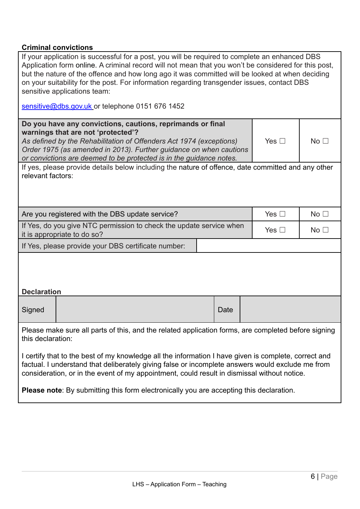## **Criminal convictions**

| If your application is successful for a post, you will be required to complete an enhanced DBS<br>Application form online. A criminal record will not mean that you won't be considered for this post,<br>but the nature of the offence and how long ago it was committed will be looked at when deciding<br>on your suitability for the post. For information regarding transgender issues, contact DBS<br>sensitive applications team:<br>sensitive@dbs.gov.uk or telephone 0151 676 1452 |                |               |                 |  |  |
|---------------------------------------------------------------------------------------------------------------------------------------------------------------------------------------------------------------------------------------------------------------------------------------------------------------------------------------------------------------------------------------------------------------------------------------------------------------------------------------------|----------------|---------------|-----------------|--|--|
|                                                                                                                                                                                                                                                                                                                                                                                                                                                                                             |                |               |                 |  |  |
| Do you have any convictions, cautions, reprimands or final<br>warnings that are not 'protected'?<br>As defined by the Rehabilitation of Offenders Act 1974 (exceptions)<br>Order 1975 (as amended in 2013). Further guidance on when cautions<br>or convictions are deemed to be protected is in the guidance notes.                                                                                                                                                                        |                | Yes $\square$ | No <sub>1</sub> |  |  |
| If yes, please provide details below including the nature of offence, date committed and any other<br>relevant factors:                                                                                                                                                                                                                                                                                                                                                                     |                |               |                 |  |  |
|                                                                                                                                                                                                                                                                                                                                                                                                                                                                                             |                |               |                 |  |  |
| Are you registered with the DBS update service?                                                                                                                                                                                                                                                                                                                                                                                                                                             |                | Yes $\square$ | No <sub>1</sub> |  |  |
| If Yes, do you give NTC permission to check the update service when<br>it is appropriate to do so?                                                                                                                                                                                                                                                                                                                                                                                          |                | Yes $\square$ | No <sub>1</sub> |  |  |
| If Yes, please provide your DBS certificate number:                                                                                                                                                                                                                                                                                                                                                                                                                                         |                |               |                 |  |  |
| <b>Declaration</b>                                                                                                                                                                                                                                                                                                                                                                                                                                                                          |                |               |                 |  |  |
|                                                                                                                                                                                                                                                                                                                                                                                                                                                                                             |                |               |                 |  |  |
|                                                                                                                                                                                                                                                                                                                                                                                                                                                                                             | Signed<br>Date |               |                 |  |  |
| Please make sure all parts of this, and the related application forms, are completed before signing<br>this declaration:                                                                                                                                                                                                                                                                                                                                                                    |                |               |                 |  |  |
| I certify that to the best of my knowledge all the information I have given is complete, correct and<br>factual. I understand that deliberately giving false or incomplete answers would exclude me from<br>consideration, or in the event of my appointment, could result in dismissal without notice.                                                                                                                                                                                     |                |               |                 |  |  |
| <b>Please note:</b> By submitting this form electronically you are accepting this declaration.                                                                                                                                                                                                                                                                                                                                                                                              |                |               |                 |  |  |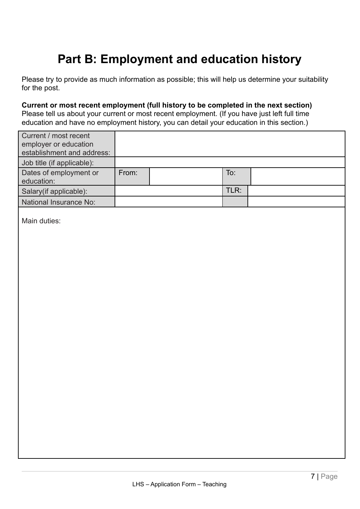# **Part B: Employment and education history**

Please try to provide as much information as possible; this will help us determine your suitability for the post.

**Current or most recent employment (full history to be completed in the next section)** Please tell us about your current or most recent employment. (If you have just left full time education and have no employment history, you can detail your education in this section.)

| Current / most recent      |       |      |  |
|----------------------------|-------|------|--|
| employer or education      |       |      |  |
| establishment and address: |       |      |  |
| Job title (if applicable): |       |      |  |
| Dates of employment or     | From: | To:  |  |
| education:                 |       |      |  |
| Salary (if applicable):    |       | TLR: |  |
| National Insurance No:     |       |      |  |

Main duties: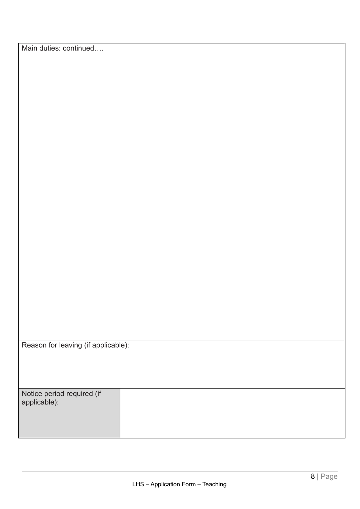| Reason for leaving (if applicable): |  |
|-------------------------------------|--|
|-------------------------------------|--|

| Notice period required (if<br>applicable): |  |
|--------------------------------------------|--|
|                                            |  |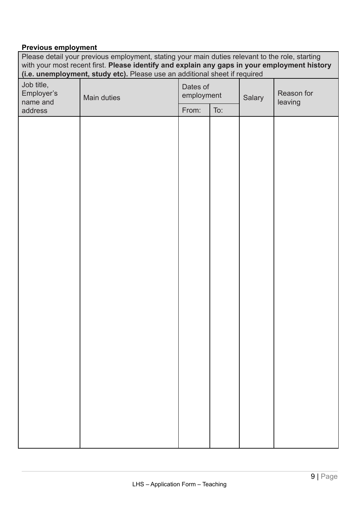#### **Previous employment**

Please detail your previous employment, stating your main duties relevant to the role, starting with your most recent first. **Please identify and explain any gaps in your employment history (i.e. unemployment, study etc).** Please use an additional sheet if required Job title, Employer's name and address Main duties Dates of employment Salary Reason for leaving From:  $\vert$  To: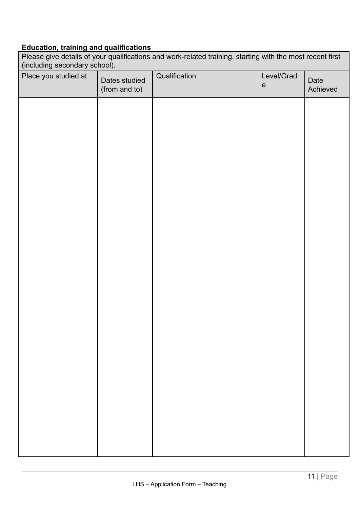# **Education, training and qualifications**

| Please give details of your qualifications and work-related training, starting with the most recent first<br>(including secondary school). |                                |               |                                                 |                  |  |
|--------------------------------------------------------------------------------------------------------------------------------------------|--------------------------------|---------------|-------------------------------------------------|------------------|--|
| Place you studied at                                                                                                                       | Dates studied<br>(from and to) | Qualification | Level/Grad<br>$\mathsf{e}% _{t}\left( t\right)$ | Date<br>Achieved |  |
|                                                                                                                                            |                                |               |                                                 |                  |  |
|                                                                                                                                            |                                |               |                                                 |                  |  |
|                                                                                                                                            |                                |               |                                                 |                  |  |
|                                                                                                                                            |                                |               |                                                 |                  |  |
|                                                                                                                                            |                                |               |                                                 |                  |  |
|                                                                                                                                            |                                |               |                                                 |                  |  |
|                                                                                                                                            |                                |               |                                                 |                  |  |
|                                                                                                                                            |                                |               |                                                 |                  |  |
|                                                                                                                                            |                                |               |                                                 |                  |  |
|                                                                                                                                            |                                |               |                                                 |                  |  |
|                                                                                                                                            |                                |               |                                                 |                  |  |
|                                                                                                                                            |                                |               |                                                 |                  |  |
|                                                                                                                                            |                                |               |                                                 |                  |  |
|                                                                                                                                            |                                |               |                                                 |                  |  |
|                                                                                                                                            |                                |               |                                                 |                  |  |
|                                                                                                                                            |                                |               |                                                 |                  |  |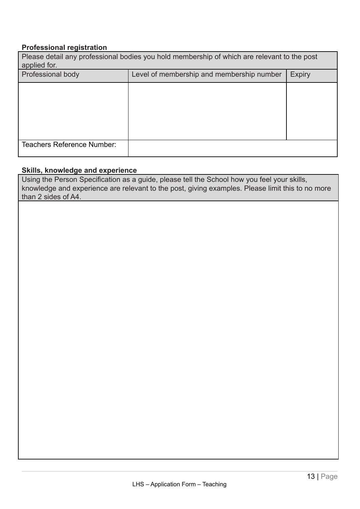#### **Professional registration**

| Please detail any professional bodies you hold membership of which are relevant to the post<br>applied for. |                                           |               |  |  |
|-------------------------------------------------------------------------------------------------------------|-------------------------------------------|---------------|--|--|
| Professional body                                                                                           | Level of membership and membership number | <b>Expiry</b> |  |  |
|                                                                                                             |                                           |               |  |  |
|                                                                                                             |                                           |               |  |  |
|                                                                                                             |                                           |               |  |  |
|                                                                                                             |                                           |               |  |  |
| <b>Teachers Reference Number:</b>                                                                           |                                           |               |  |  |

## **Skills, knowledge and experience**

Using the Person Specification as a guide, please tell the School how you feel your skills, knowledge and experience are relevant to the post, giving examples. Please limit this to no more than 2 sides of A4.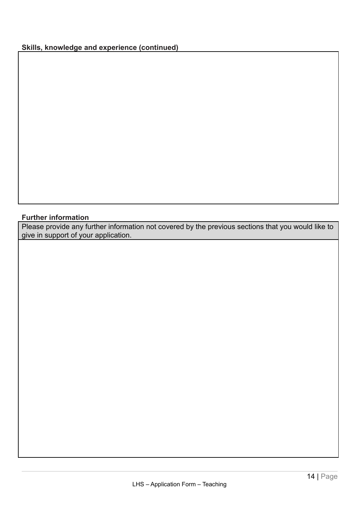## **Skills, knowledge and experience (continued)**

#### **Further information**

Please provide any further information not covered by the previous sections that you would like to give in support of your application.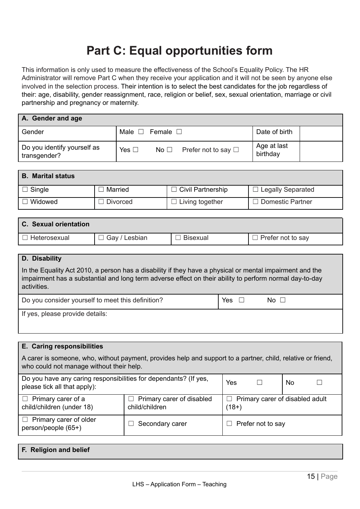# **Part C: Equal opportunities form**

This information is only used to measure the effectiveness of the School's Equality Policy. The HR Administrator will remove Part C when they receive your application and it will not be seen by anyone else involved in the selection process. Their intention is to select the best candidates for the job regardless of their: age, disability, gender reassignment, race, religion or belief, sex, sexual orientation, marriage or civil partnership and pregnancy or maternity.

| A. Gender and age                           |                                                     |                         |  |  |
|---------------------------------------------|-----------------------------------------------------|-------------------------|--|--|
| Gender                                      | Male $\square$<br>Female $\square$                  | Date of birth           |  |  |
| Do you identify yourself as<br>transgender? | Yes $\square$<br>No $\Box$ Prefer not to say $\Box$ | Age at last<br>birthday |  |  |

| <b>B.</b> Marital status |          |                           |                   |  |
|--------------------------|----------|---------------------------|-------------------|--|
| $\Box$ Single            | Married  | $\Box$ Civil Partnership  | Legally Separated |  |
| Widowed                  | Divorced | $\exists$ Living together | Domestic Partner  |  |

| <b>C.</b> Sexual orientation |                      |                 |                          |
|------------------------------|----------------------|-----------------|--------------------------|
| Heterosexual                 | $\Box$ Gay / Lesbian | <b>Bisexual</b> | $\Box$ Prefer not to say |

#### **D. Disability**

In the Equality Act 2010, a person has a disability if they have a physical or mental impairment and the impairment has a substantial and long term adverse effect on their ability to perform normal day-to-day activities.

| Do you consider yourself to meet this definition? | Yes ⊔ | No $\Box$ |
|---------------------------------------------------|-------|-----------|
| If yes, please provide details:                   |       |           |

| E. Caring responsibilities                                                                                                                               |                 |                                                 |  |    |  |
|----------------------------------------------------------------------------------------------------------------------------------------------------------|-----------------|-------------------------------------------------|--|----|--|
| A carer is someone, who, without payment, provides help and support to a partner, child, relative or friend,<br>who could not manage without their help. |                 |                                                 |  |    |  |
| Do you have any caring responsibilities for dependants? (If yes,<br>Yes<br>please tick all that apply):                                                  |                 |                                                 |  | No |  |
| $\Box$ Primary carer of a<br>Primary carer of disabled<br>child/children (under 18)<br>child/children                                                    |                 | Primary carer of disabled adult<br>ш<br>$(18+)$ |  |    |  |
| Primary carer of older<br>person/people (65+)                                                                                                            | Secondary carer | Prefer not to say                               |  |    |  |

| <b>F. Religion and belief</b> |  |  |
|-------------------------------|--|--|